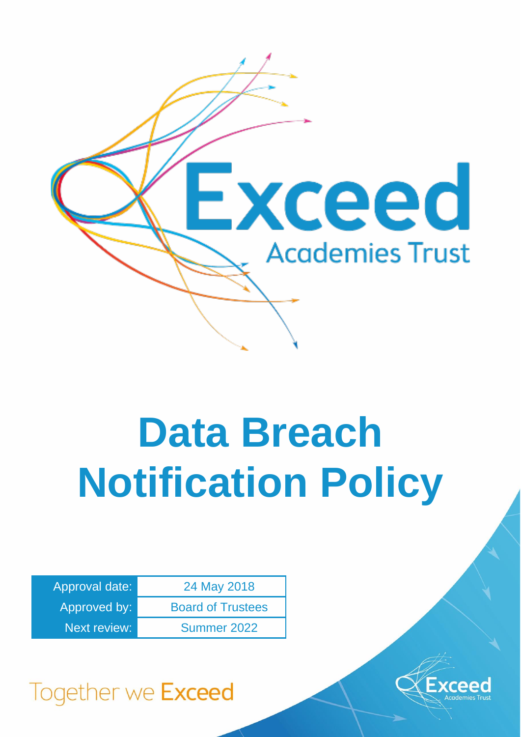

# **Data Breach Notification Policy**

| Approval date:      | 24 May 2018              |  |
|---------------------|--------------------------|--|
| Approved by:        | <b>Board of Trustees</b> |  |
| <b>Next review:</b> | Summer 2022              |  |



# Together we Exceed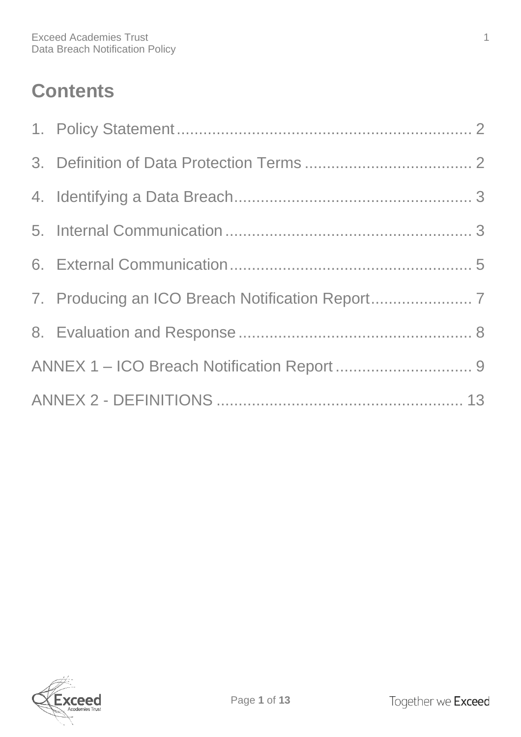# **Contents**

| 7. Producing an ICO Breach Notification Report |  |
|------------------------------------------------|--|
|                                                |  |
|                                                |  |
|                                                |  |

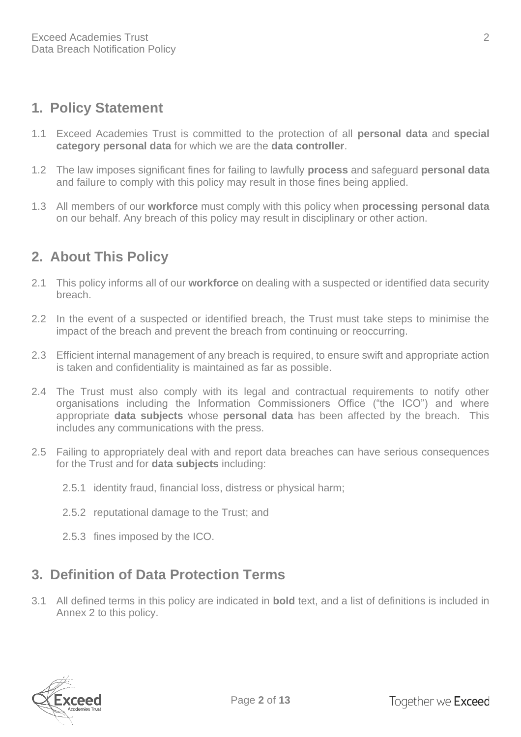# <span id="page-2-0"></span>**1. Policy Statement**

- 1.1 Exceed Academies Trust is committed to the protection of all **personal data** and **special category personal data** for which we are the **data controller**.
- 1.2 The law imposes significant fines for failing to lawfully **process** and safeguard **personal data** and failure to comply with this policy may result in those fines being applied.
- 1.3 All members of our **workforce** must comply with this policy when **processing personal data** on our behalf. Any breach of this policy may result in disciplinary or other action.

# **2. About This Policy**

- 2.1 This policy informs all of our **workforce** on dealing with a suspected or identified data security breach.
- 2.2 In the event of a suspected or identified breach, the Trust must take steps to minimise the impact of the breach and prevent the breach from continuing or reoccurring.
- 2.3 Efficient internal management of any breach is required, to ensure swift and appropriate action is taken and confidentiality is maintained as far as possible.
- 2.4 The Trust must also comply with its legal and contractual requirements to notify other organisations including the Information Commissioners Office ("the ICO") and where appropriate **data subjects** whose **personal data** has been affected by the breach. This includes any communications with the press.
- 2.5 Failing to appropriately deal with and report data breaches can have serious consequences for the Trust and for **data subjects** including:
	- 2.5.1 identity fraud, financial loss, distress or physical harm;
	- 2.5.2 reputational damage to the Trust; and
	- 2.5.3 fines imposed by the ICO.

# <span id="page-2-1"></span>**3. Definition of Data Protection Terms**

3.1 All defined terms in this policy are indicated in **bold** text, and a list of definitions is included in Annex 2 to this policy.

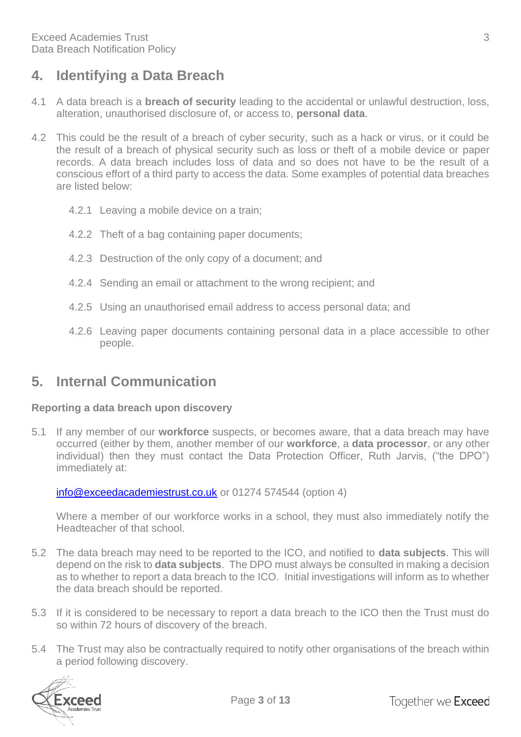# <span id="page-3-0"></span>**4. Identifying a Data Breach**

- 4.1 A data breach is a **breach of security** leading to the accidental or unlawful destruction, loss, alteration, unauthorised disclosure of, or access to, **personal data**.
- 4.2 This could be the result of a breach of cyber security, such as a hack or virus, or it could be the result of a breach of physical security such as loss or theft of a mobile device or paper records. A data breach includes loss of data and so does not have to be the result of a conscious effort of a third party to access the data. Some examples of potential data breaches are listed below:
	- 4.2.1 Leaving a mobile device on a train;
	- 4.2.2 Theft of a bag containing paper documents;
	- 4.2.3 Destruction of the only copy of a document; and
	- 4.2.4 Sending an email or attachment to the wrong recipient; and
	- 4.2.5 Using an unauthorised email address to access personal data; and
	- 4.2.6 Leaving paper documents containing personal data in a place accessible to other people.

## <span id="page-3-1"></span>**5. Internal Communication**

#### **Reporting a data breach upon discovery**

5.1 If any member of our **workforce** suspects, or becomes aware, that a data breach may have occurred (either by them, another member of our **workforce**, a **data processor**, or any other individual) then they must contact the Data Protection Officer, Ruth Jarvis, ("the DPO") immediately at:

[info@exceedacademiestrust.co.uk](mailto:info@exceedacademiestrust.co.uk) or 01274 574544 (option 4)

Where a member of our workforce works in a school, they must also immediately notify the Headteacher of that school.

- 5.2 The data breach may need to be reported to the ICO, and notified to **data subjects**. This will depend on the risk to **data subjects**. The DPO must always be consulted in making a decision as to whether to report a data breach to the ICO. Initial investigations will inform as to whether the data breach should be reported.
- 5.3 If it is considered to be necessary to report a data breach to the ICO then the Trust must do so within 72 hours of discovery of the breach.
- 5.4 The Trust may also be contractually required to notify other organisations of the breach within a period following discovery.

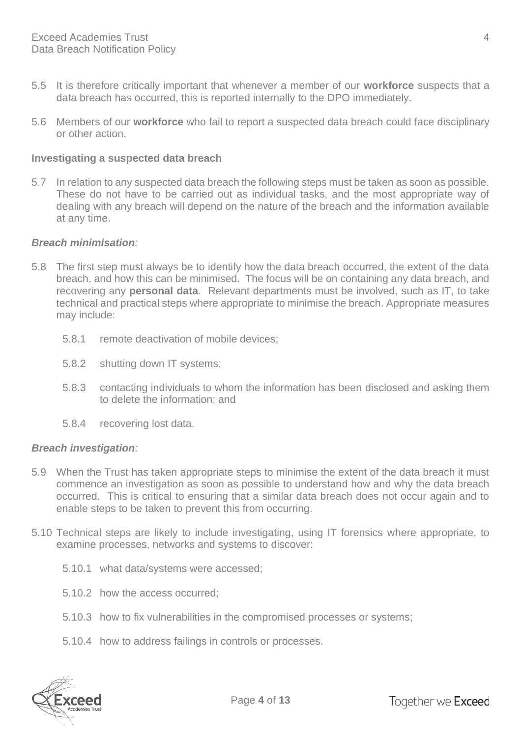- 5.5 It is therefore critically important that whenever a member of our **workforce** suspects that a data breach has occurred, this is reported internally to the DPO immediately.
- 5.6 Members of our **workforce** who fail to report a suspected data breach could face disciplinary or other action.

#### **Investigating a suspected data breach**

5.7 In relation to any suspected data breach the following steps must be taken as soon as possible. These do not have to be carried out as individual tasks, and the most appropriate way of dealing with any breach will depend on the nature of the breach and the information available at any time.

#### *Breach minimisation:*

- 5.8 The first step must always be to identify how the data breach occurred, the extent of the data breach, and how this can be minimised. The focus will be on containing any data breach, and recovering any **personal data**. Relevant departments must be involved, such as IT, to take technical and practical steps where appropriate to minimise the breach. Appropriate measures may include:
	- 5.8.1 remote deactivation of mobile devices;
	- 5.8.2 shutting down IT systems;
	- 5.8.3 contacting individuals to whom the information has been disclosed and asking them to delete the information; and
	- 5.8.4 recovering lost data.

#### *Breach investigation:*

- 5.9 When the Trust has taken appropriate steps to minimise the extent of the data breach it must commence an investigation as soon as possible to understand how and why the data breach occurred. This is critical to ensuring that a similar data breach does not occur again and to enable steps to be taken to prevent this from occurring.
- 5.10 Technical steps are likely to include investigating, using IT forensics where appropriate, to examine processes, networks and systems to discover:
	- 5.10.1 what data/systems were accessed;
	- 5.10.2 how the access occurred;
	- 5.10.3 how to fix vulnerabilities in the compromised processes or systems;
	- 5.10.4 how to address failings in controls or processes.

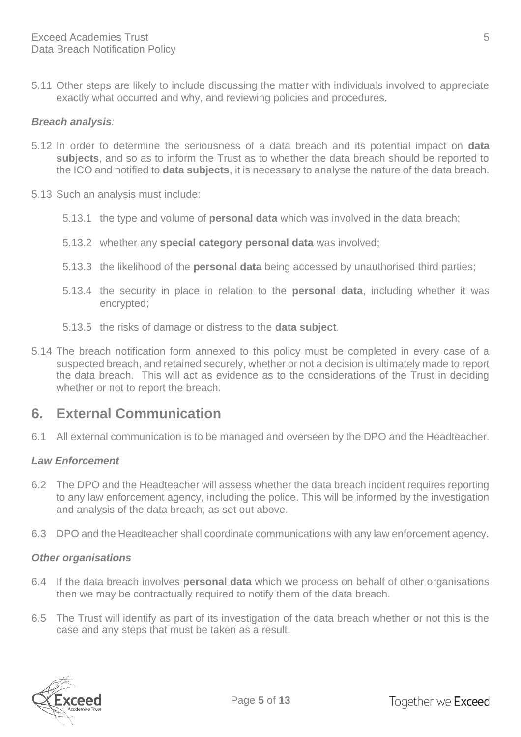5.11 Other steps are likely to include discussing the matter with individuals involved to appreciate exactly what occurred and why, and reviewing policies and procedures.

#### *Breach analysis:*

- 5.12 In order to determine the seriousness of a data breach and its potential impact on **data subjects**, and so as to inform the Trust as to whether the data breach should be reported to the ICO and notified to **data subjects**, it is necessary to analyse the nature of the data breach.
- 5.13 Such an analysis must include:
	- 5.13.1 the type and volume of **personal data** which was involved in the data breach;
	- 5.13.2 whether any **special category personal data** was involved;
	- 5.13.3 the likelihood of the **personal data** being accessed by unauthorised third parties;
	- 5.13.4 the security in place in relation to the **personal data**, including whether it was encrypted;
	- 5.13.5 the risks of damage or distress to the **data subject**.
- 5.14 The breach notification form annexed to this policy must be completed in every case of a suspected breach, and retained securely, whether or not a decision is ultimately made to report the data breach. This will act as evidence as to the considerations of the Trust in deciding whether or not to report the breach.

## <span id="page-5-0"></span>**6. External Communication**

6.1 All external communication is to be managed and overseen by the DPO and the Headteacher.

#### *Law Enforcement*

- 6.2 The DPO and the Headteacher will assess whether the data breach incident requires reporting to any law enforcement agency, including the police. This will be informed by the investigation and analysis of the data breach, as set out above.
- 6.3 DPO and the Headteacher shall coordinate communications with any law enforcement agency.

#### *Other organisations*

- 6.4 If the data breach involves **personal data** which we process on behalf of other organisations then we may be contractually required to notify them of the data breach.
- 6.5 The Trust will identify as part of its investigation of the data breach whether or not this is the case and any steps that must be taken as a result.

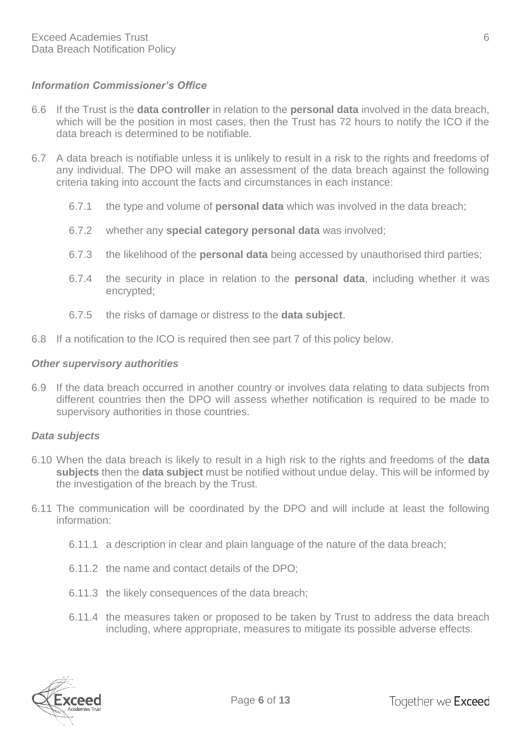#### *Information Commissioner's Office*

- 6.6 If the Trust is the **data controller** in relation to the **personal data** involved in the data breach, which will be the position in most cases, then the Trust has 72 hours to notify the ICO if the data breach is determined to be notifiable.
- 6.7 A data breach is notifiable unless it is unlikely to result in a risk to the rights and freedoms of any individual. The DPO will make an assessment of the data breach against the following criteria taking into account the facts and circumstances in each instance:
	- 6.7.1 the type and volume of **personal data** which was involved in the data breach;
	- 6.7.2 whether any **special category personal data** was involved;
	- 6.7.3 the likelihood of the **personal data** being accessed by unauthorised third parties;
	- 6.7.4 the security in place in relation to the **personal data**, including whether it was encrypted;
	- 6.7.5 the risks of damage or distress to the **data subject**.
- 6.8 If a notification to the ICO is required then see part 7 of this policy below.

#### *Other supervisory authorities*

6.9 If the data breach occurred in another country or involves data relating to data subjects from different countries then the DPO will assess whether notification is required to be made to supervisory authorities in those countries.

#### *Data subjects*

- 6.10 When the data breach is likely to result in a high risk to the rights and freedoms of the **data subjects** then the **data subject** must be notified without undue delay. This will be informed by the investigation of the breach by the Trust.
- 6.11 The communication will be coordinated by the DPO and will include at least the following information:
	- 6.11.1 a description in clear and plain language of the nature of the data breach;
	- 6.11.2 the name and contact details of the DPO;
	- 6.11.3 the likely consequences of the data breach;
	- 6.11.4 the measures taken or proposed to be taken by Trust to address the data breach including, where appropriate, measures to mitigate its possible adverse effects.

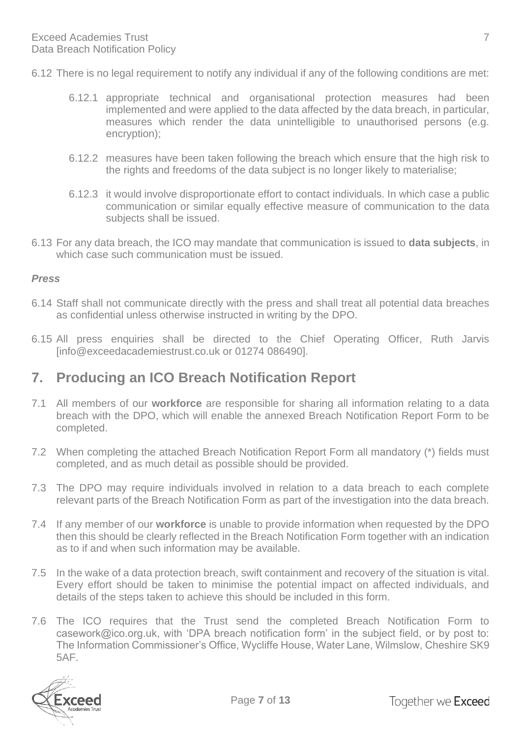- 6.12 There is no legal requirement to notify any individual if any of the following conditions are met:
	- 6.12.1 appropriate technical and organisational protection measures had been implemented and were applied to the data affected by the data breach, in particular, measures which render the data unintelligible to unauthorised persons (e.g. encryption);
	- 6.12.2 measures have been taken following the breach which ensure that the high risk to the rights and freedoms of the data subject is no longer likely to materialise;
	- 6.12.3 it would involve disproportionate effort to contact individuals. In which case a public communication or similar equally effective measure of communication to the data subjects shall be issued.
- 6.13 For any data breach, the ICO may mandate that communication is issued to **data subjects**, in which case such communication must be issued.

#### *Press*

- 6.14 Staff shall not communicate directly with the press and shall treat all potential data breaches as confidential unless otherwise instructed in writing by the DPO.
- 6.15 All press enquiries shall be directed to the Chief Operating Officer, Ruth Jarvis [info@exceedacademiestrust.co.uk or 01274 086490].

## <span id="page-7-0"></span>**7. Producing an ICO Breach Notification Report**

- 7.1 All members of our **workforce** are responsible for sharing all information relating to a data breach with the DPO, which will enable the annexed Breach Notification Report Form to be completed.
- 7.2 When completing the attached Breach Notification Report Form all mandatory (\*) fields must completed, and as much detail as possible should be provided.
- 7.3 The DPO may require individuals involved in relation to a data breach to each complete relevant parts of the Breach Notification Form as part of the investigation into the data breach.
- 7.4 If any member of our **workforce** is unable to provide information when requested by the DPO then this should be clearly reflected in the Breach Notification Form together with an indication as to if and when such information may be available.
- 7.5 In the wake of a data protection breach, swift containment and recovery of the situation is vital. Every effort should be taken to minimise the potential impact on affected individuals, and details of the steps taken to achieve this should be included in this form.
- 7.6 The ICO requires that the Trust send the completed Breach Notification Form to casework@ico.org.uk, with 'DPA breach notification form' in the subject field, or by post to: The Information Commissioner's Office, Wycliffe House, Water Lane, Wilmslow, Cheshire SK9 5AF.

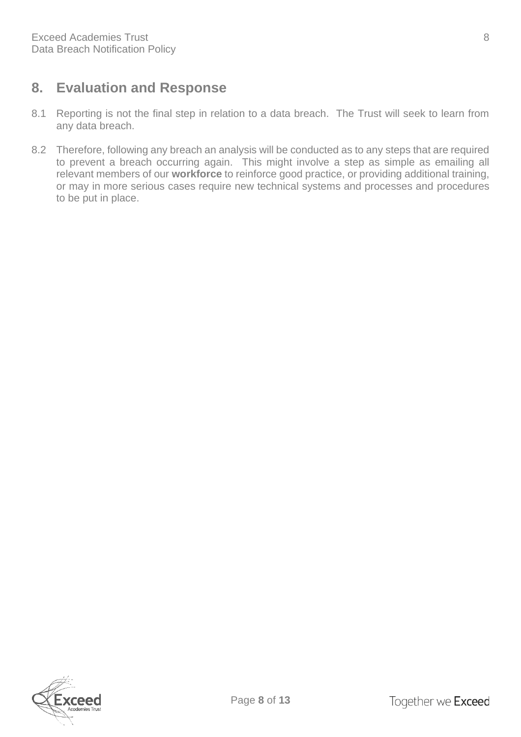# <span id="page-8-0"></span>**8. Evaluation and Response**

- 8.1 Reporting is not the final step in relation to a data breach. The Trust will seek to learn from any data breach.
- 8.2 Therefore, following any breach an analysis will be conducted as to any steps that are required to prevent a breach occurring again. This might involve a step as simple as emailing all relevant members of our **workforce** to reinforce good practice, or providing additional training, or may in more serious cases require new technical systems and processes and procedures to be put in place.

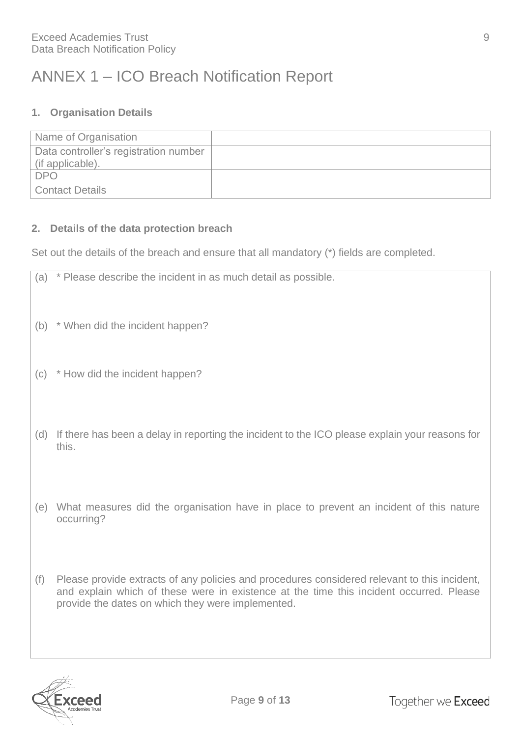# <span id="page-9-0"></span>ANNEX 1 – ICO Breach Notification Report

#### **1. Organisation Details**

| Name of Organisation                  |  |
|---------------------------------------|--|
| Data controller's registration number |  |
| (if applicable).                      |  |
| DPO                                   |  |
| <b>Contact Details</b>                |  |

#### **2. Details of the data protection breach**

Set out the details of the breach and ensure that all mandatory (\*) fields are completed.

| (a) | * Please describe the incident in as much detail as possible.                                           |
|-----|---------------------------------------------------------------------------------------------------------|
|     | (b) * When did the incident happen?                                                                     |
| (c) | * How did the incident happen?                                                                          |
| (d) | If there has been a delay in reporting the incident to the ICO please explain your reasons for<br>this. |
| (e) | What measures did the organisation have in place to prevent an incident of this nature<br>occurring?    |
| (f) | Please provide extracts of any policies and procedures considered relevant to this incident,            |



and explain which of these were in existence at the time this incident occurred. Please

provide the dates on which they were implemented.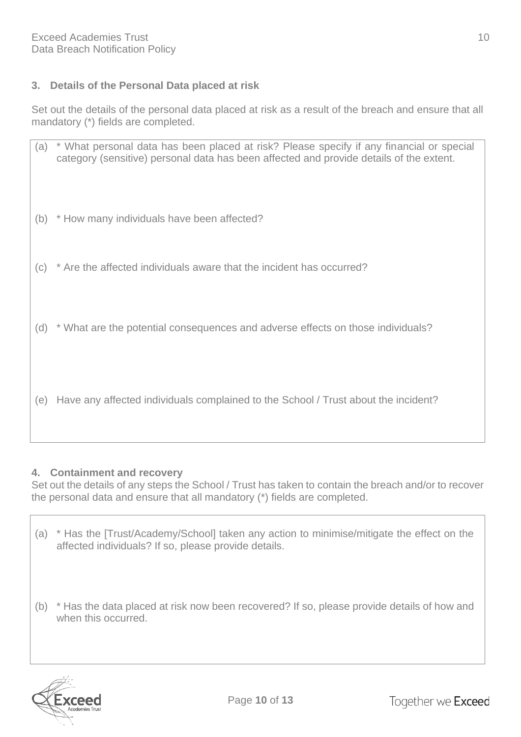#### **3. Details of the Personal Data placed at risk**

Set out the details of the personal data placed at risk as a result of the breach and ensure that all mandatory (\*) fields are completed.

| (a) | * What personal data has been placed at risk? Please specify if any financial or special<br>category (sensitive) personal data has been affected and provide details of the extent. |
|-----|-------------------------------------------------------------------------------------------------------------------------------------------------------------------------------------|
|     | (b) * How many individuals have been affected?                                                                                                                                      |
|     | (c) * Are the affected individuals aware that the incident has occurred?                                                                                                            |
|     | (d) * What are the potential consequences and adverse effects on those individuals?                                                                                                 |
| (e) | Have any affected individuals complained to the School / Trust about the incident?                                                                                                  |

#### **4. Containment and recovery**

Set out the details of any steps the School / Trust has taken to contain the breach and/or to recover the personal data and ensure that all mandatory (\*) fields are completed.

- (a) \* Has the [Trust/Academy/School] taken any action to minimise/mitigate the effect on the affected individuals? If so, please provide details.
- (b) \* Has the data placed at risk now been recovered? If so, please provide details of how and when this occurred.

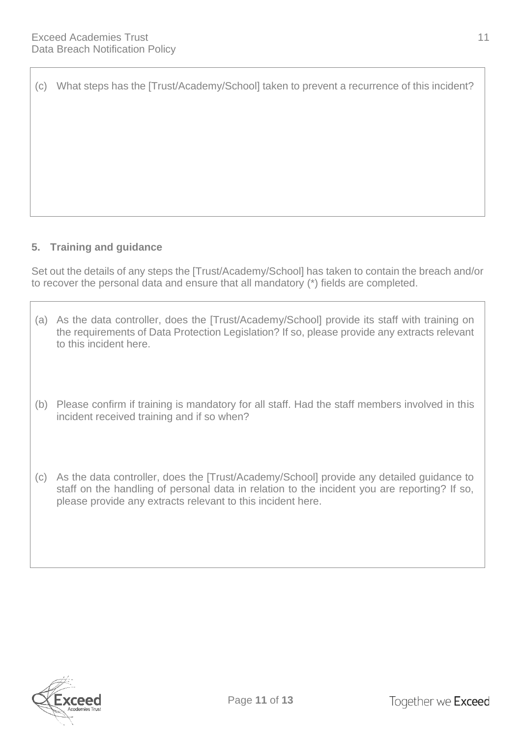(c) What steps has the [Trust/Academy/School] taken to prevent a recurrence of this incident?

#### **5. Training and guidance**

Set out the details of any steps the [Trust/Academy/School] has taken to contain the breach and/or to recover the personal data and ensure that all mandatory (\*) fields are completed.

- (a) As the data controller, does the [Trust/Academy/School] provide its staff with training on the requirements of Data Protection Legislation? If so, please provide any extracts relevant to this incident here.
- (b) Please confirm if training is mandatory for all staff. Had the staff members involved in this incident received training and if so when?
- (c) As the data controller, does the [Trust/Academy/School] provide any detailed guidance to staff on the handling of personal data in relation to the incident you are reporting? If so, please provide any extracts relevant to this incident here.

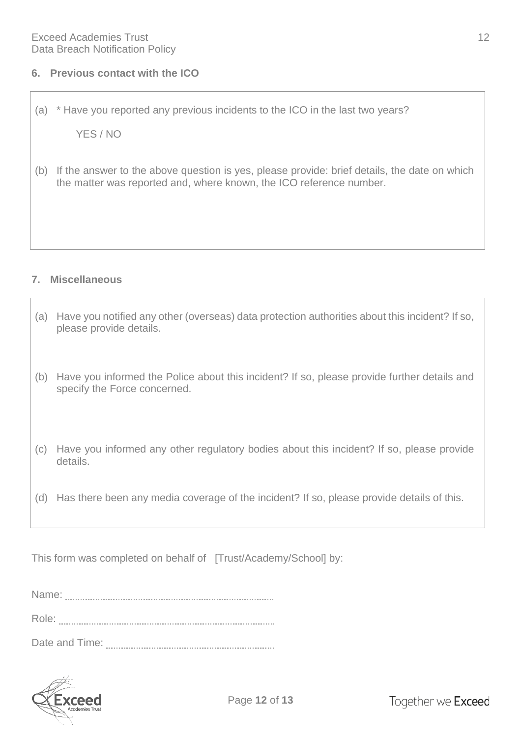(a) \* Have you reported any previous incidents to the ICO in the last two years?

YES / NO

(b) If the answer to the above question is yes, please provide: brief details, the date on which the matter was reported and, where known, the ICO reference number.

#### **7. Miscellaneous**

| (a) | Have you notified any other (overseas) data protection authorities about this incident? If so,<br>please provide details.   |
|-----|-----------------------------------------------------------------------------------------------------------------------------|
| (b) | Have you informed the Police about this incident? If so, please provide further details and<br>specify the Force concerned. |
| (c) | Have you informed any other regulatory bodies about this incident? If so, please provide<br>details.                        |
| (d) | Has there been any media coverage of the incident? If so, please provide details of this.                                   |

This form was completed on behalf of [Trust/Academy/School] by:

| Name:          |  |
|----------------|--|
| Role:          |  |
| Date and Time: |  |